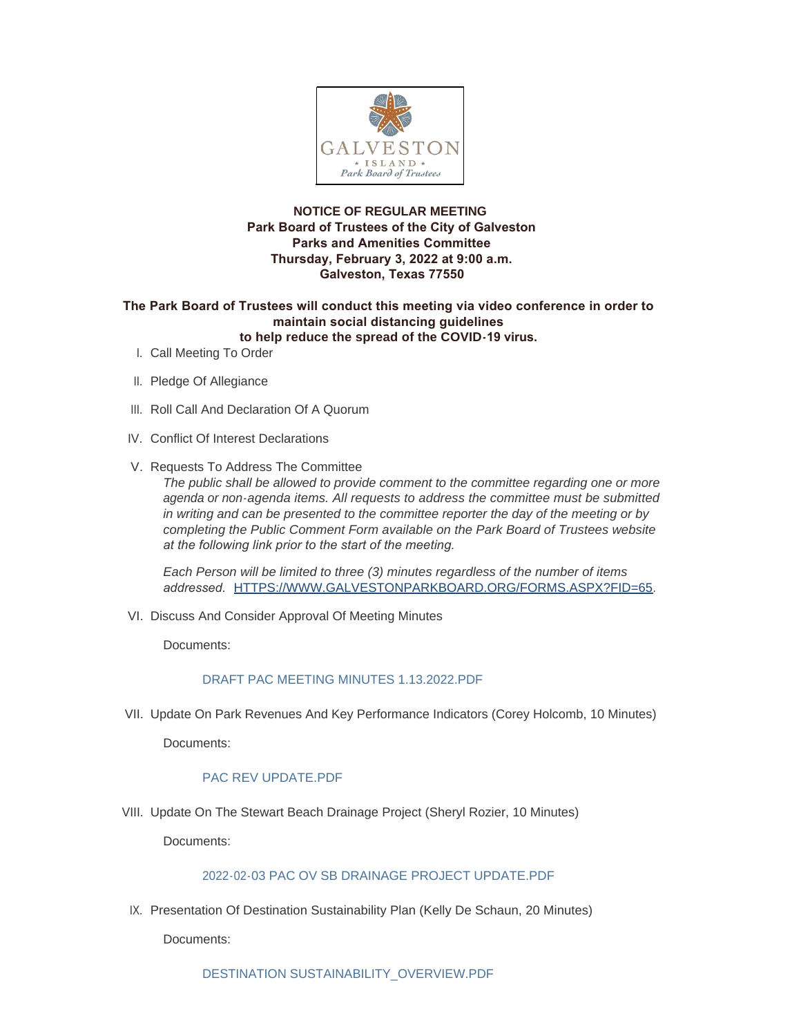

## **NOTICE OF REGULAR MEETING Park Board of Trustees of the City of Galveston Parks and Amenities Committee Thursday, February 3, 2022 at 9:00 a.m. Galveston, Texas 77550**

#### **The Park Board of Trustees will conduct this meeting via video conference in order to maintain social distancing guidelines to help reduce the spread of the COVID-19 virus.**

- I. Call Meeting To Order
- II. Pledge Of Allegiance
- III. Roll Call And Declaration Of A Quorum
- IV. Conflict Of Interest Declarations
- V. Requests To Address The Committee

*The public shall be allowed to provide comment to the committee regarding one or more agenda or non-agenda items. All requests to address the committee must be submitted in writing and can be presented to the committee reporter the day of the meeting or by completing the Public Comment Form available on the Park Board of Trustees website at the following link prior to the start of the meeting.* 

*Each Person will be limited to three (3) minutes regardless of the number of items addressed.* [HTTPS://WWW.GALVESTONPARKBOARD.ORG/FORMS.ASPX?FID=65](https://www.galvestonparkboard.org/forms.aspx?FID=65)*.*

VI. Discuss And Consider Approval Of Meeting Minutes

Documents:

#### [DRAFT PAC MEETING MINUTES 1.13.2022.PDF](https://www.galvestonparkboard.org/AgendaCenter/ViewFile/Item/7275?fileID=10705)

VII. Update On Park Revenues And Key Performance Indicators (Corey Holcomb, 10 Minutes)

Documents:

## [PAC REV UPDATE.PDF](https://www.galvestonparkboard.org/AgendaCenter/ViewFile/Item/7276?fileID=10706)

VIII. Update On The Stewart Beach Drainage Project (Sheryl Rozier, 10 Minutes)

Documents:

## [2022-02-03 PAC OV SB DRAINAGE PROJECT UPDATE.PDF](https://www.galvestonparkboard.org/AgendaCenter/ViewFile/Item/7224?fileID=10682)

IX. Presentation Of Destination Sustainability Plan (Kelly De Schaun, 20 Minutes)

Documents: